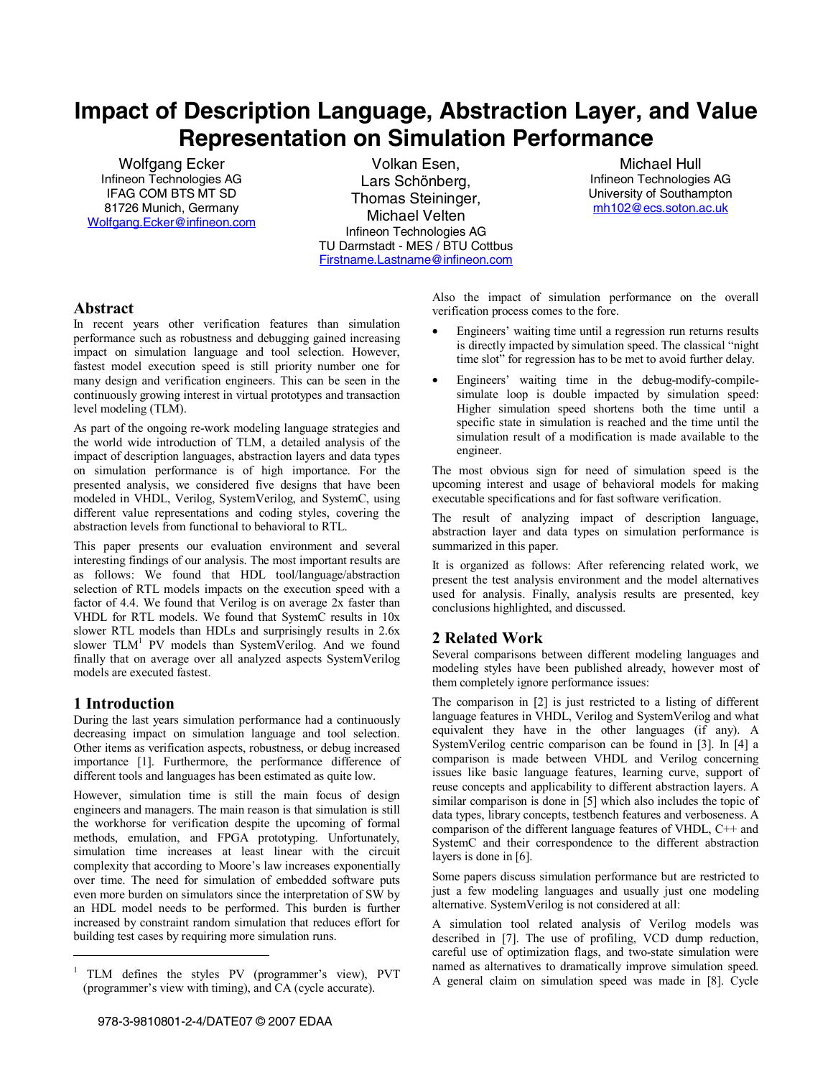# **Impact of Description Language, Abstraction Layer, and Value Representation on Simulation Performance**

Wolfgang Ecker Infineon Technologies AG IFAG COM BTS MT SD 81726 Munich, Germany Wolfgang.Ecker@infineon.com

Volkan Esen, Lars Schönberg, Thomas Steininger, Michael Velten Infineon Technologies AG TU Darmstadt - MES / BTU Cottbus Firstname.Lastname@infineon.com

Michael Hull Infineon Technologies AG University of Southampton mh102@ecs.soton.ac.uk

# **Abstract**

In recent years other verification features than simulation performance such as robustness and debugging gained increasing impact on simulation language and tool selection. However, fastest model execution speed is still priority number one for many design and verification engineers. This can be seen in the continuously growing interest in virtual prototypes and transaction level modeling (TLM).

As part of the ongoing re-work modeling language strategies and the world wide introduction of TLM, a detailed analysis of the impact of description languages, abstraction layers and data types on simulation performance is of high importance. For the presented analysis, we considered five designs that have been modeled in VHDL, Verilog, SystemVerilog, and SystemC, using different value representations and coding styles, covering the abstraction levels from functional to behavioral to RTL.

This paper presents our evaluation environment and several interesting findings of our analysis. The most important results are as follows: We found that HDL tool/language/abstraction selection of RTL models impacts on the execution speed with a factor of 4.4. We found that Verilog is on average 2x faster than VHDL for RTL models. We found that SystemC results in 10x slower RTL models than HDLs and surprisingly results in 2.6x slower TLM<sup>1</sup> PV models than SystemVerilog. And we found finally that on average over all analyzed aspects SystemVerilog models are executed fastest.

# **1 Introduction**

 $\overline{a}$ 

During the last years simulation performance had a continuously decreasing impact on simulation language and tool selection. Other items as verification aspects, robustness, or debug increased importance [1]. Furthermore, the performance difference of different tools and languages has been estimated as quite low.

However, simulation time is still the main focus of design engineers and managers. The main reason is that simulation is still the workhorse for verification despite the upcoming of formal methods, emulation, and FPGA prototyping. Unfortunately, simulation time increases at least linear with the circuit complexity that according to Moore's law increases exponentially over time. The need for simulation of embedded software puts even more burden on simulators since the interpretation of SW by an HDL model needs to be performed. This burden is further increased by constraint random simulation that reduces effort for building test cases by requiring more simulation runs.

Also the impact of simulation performance on the overall verification process comes to the fore.

- Engineers' waiting time until a regression run returns results is directly impacted by simulation speed. The classical "night time slot" for regression has to be met to avoid further delay.
- Engineers' waiting time in the debug-modify-compilesimulate loop is double impacted by simulation speed: Higher simulation speed shortens both the time until a specific state in simulation is reached and the time until the simulation result of a modification is made available to the engineer.

The most obvious sign for need of simulation speed is the upcoming interest and usage of behavioral models for making executable specifications and for fast software verification.

The result of analyzing impact of description language, abstraction layer and data types on simulation performance is summarized in this paper.

It is organized as follows: After referencing related work, we present the test analysis environment and the model alternatives used for analysis. Finally, analysis results are presented, key conclusions highlighted, and discussed.

# **2 Related Work**

Several comparisons between different modeling languages and modeling styles have been published already, however most of them completely ignore performance issues:

The comparison in [2] is just restricted to a listing of different language features in VHDL, Verilog and SystemVerilog and what equivalent they have in the other languages (if any). A SystemVerilog centric comparison can be found in [3]. In [4] a comparison is made between VHDL and Verilog concerning issues like basic language features, learning curve, support of reuse concepts and applicability to different abstraction layers. A similar comparison is done in [5] which also includes the topic of data types, library concepts, testbench features and verboseness. A comparison of the different language features of VHDL, C++ and SystemC and their correspondence to the different abstraction layers is done in [6].

Some papers discuss simulation performance but are restricted to just a few modeling languages and usually just one modeling alternative. SystemVerilog is not considered at all:

A simulation tool related analysis of Verilog models was described in [7]. The use of profiling, VCD dump reduction, careful use of optimization flags, and two-state simulation were named as alternatives to dramatically improve simulation speed. A general claim on simulation speed was made in [8]. Cycle

<sup>&</sup>lt;sup>1</sup> TLM defines the styles PV (programmer's view), PVT (programmer's view with timing), and CA (cycle accurate).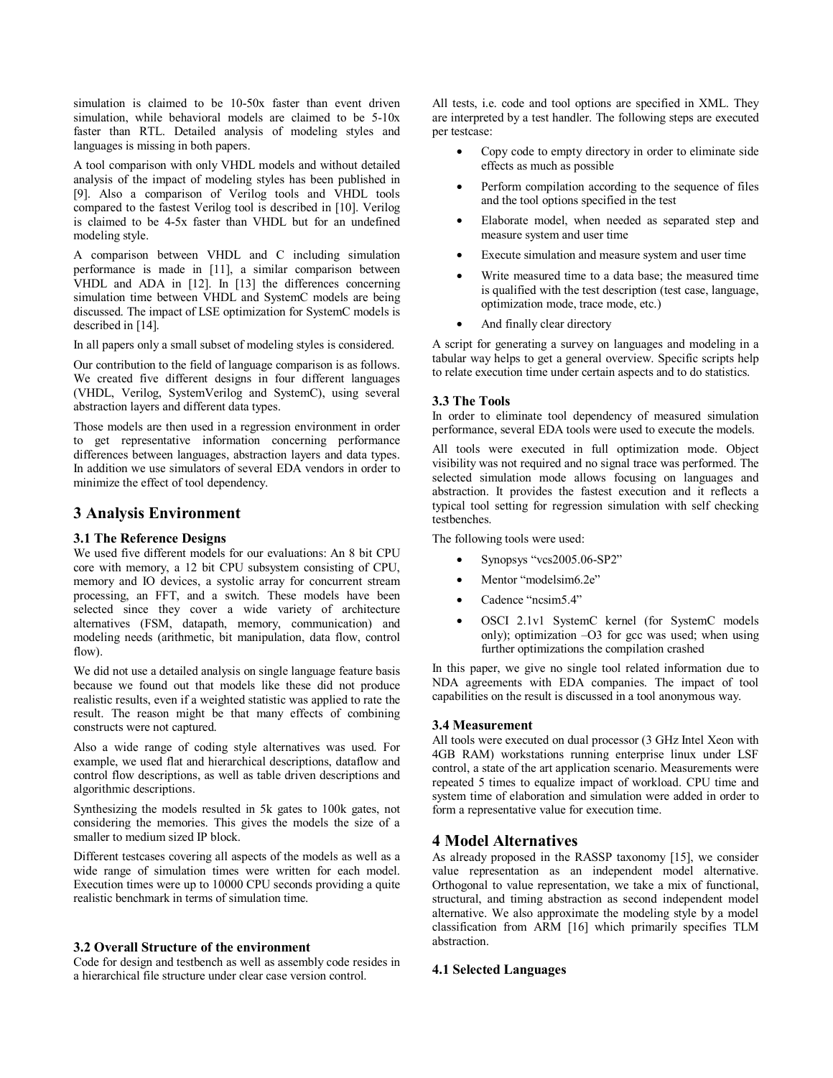simulation is claimed to be 10-50x faster than event driven simulation, while behavioral models are claimed to be 5-10x faster than RTL. Detailed analysis of modeling styles and languages is missing in both papers.

A tool comparison with only VHDL models and without detailed analysis of the impact of modeling styles has been published in [9]. Also a comparison of Verilog tools and VHDL tools compared to the fastest Verilog tool is described in [10]. Verilog is claimed to be 4-5x faster than VHDL but for an undefined modeling style.

A comparison between VHDL and C including simulation performance is made in [11], a similar comparison between VHDL and ADA in [12]. In [13] the differences concerning simulation time between VHDL and SystemC models are being discussed. The impact of LSE optimization for SystemC models is described in [14].

In all papers only a small subset of modeling styles is considered.

Our contribution to the field of language comparison is as follows. We created five different designs in four different languages (VHDL, Verilog, SystemVerilog and SystemC), using several abstraction layers and different data types.

Those models are then used in a regression environment in order to get representative information concerning performance differences between languages, abstraction layers and data types. In addition we use simulators of several EDA vendors in order to minimize the effect of tool dependency.

# **3 Analysis Environment**

# **3.1 The Reference Designs**

We used five different models for our evaluations: An 8 bit CPU core with memory, a 12 bit CPU subsystem consisting of CPU, memory and IO devices, a systolic array for concurrent stream processing, an FFT, and a switch. These models have been selected since they cover a wide variety of architecture alternatives (FSM, datapath, memory, communication) and modeling needs (arithmetic, bit manipulation, data flow, control flow).

We did not use a detailed analysis on single language feature basis because we found out that models like these did not produce realistic results, even if a weighted statistic was applied to rate the result. The reason might be that many effects of combining constructs were not captured.

Also a wide range of coding style alternatives was used. For example, we used flat and hierarchical descriptions, dataflow and control flow descriptions, as well as table driven descriptions and algorithmic descriptions.

Synthesizing the models resulted in 5k gates to 100k gates, not considering the memories. This gives the models the size of a smaller to medium sized IP block.

Different testcases covering all aspects of the models as well as a wide range of simulation times were written for each model. Execution times were up to 10000 CPU seconds providing a quite realistic benchmark in terms of simulation time.

## **3.2 Overall Structure of the environment**

Code for design and testbench as well as assembly code resides in a hierarchical file structure under clear case version control.

All tests, i.e. code and tool options are specified in XML. They are interpreted by a test handler. The following steps are executed per testcase:

- Copy code to empty directory in order to eliminate side effects as much as possible
- Perform compilation according to the sequence of files and the tool options specified in the test
- Elaborate model, when needed as separated step and measure system and user time
- Execute simulation and measure system and user time
- Write measured time to a data base; the measured time is qualified with the test description (test case, language, optimization mode, trace mode, etc.)
- And finally clear directory

A script for generating a survey on languages and modeling in a tabular way helps to get a general overview. Specific scripts help to relate execution time under certain aspects and to do statistics.

## **3.3 The Tools**

In order to eliminate tool dependency of measured simulation performance, several EDA tools were used to execute the models.

All tools were executed in full optimization mode. Object visibility was not required and no signal trace was performed. The selected simulation mode allows focusing on languages and abstraction. It provides the fastest execution and it reflects a typical tool setting for regression simulation with self checking testbenches.

The following tools were used:

- Synopsys "vcs2005.06-SP2"
- Mentor "modelsim6.2e"
- Cadence "ncsim5.4"
- OSCI 2.1v1 SystemC kernel (for SystemC models only); optimization –O3 for gcc was used; when using further optimizations the compilation crashed

In this paper, we give no single tool related information due to NDA agreements with EDA companies. The impact of tool capabilities on the result is discussed in a tool anonymous way.

## **3.4 Measurement**

All tools were executed on dual processor (3 GHz Intel Xeon with 4GB RAM) workstations running enterprise linux under LSF control, a state of the art application scenario. Measurements were repeated 5 times to equalize impact of workload. CPU time and system time of elaboration and simulation were added in order to form a representative value for execution time.

# **4 Model Alternatives**

As already proposed in the RASSP taxonomy [15], we consider value representation as an independent model alternative. Orthogonal to value representation, we take a mix of functional, structural, and timing abstraction as second independent model alternative. We also approximate the modeling style by a model classification from ARM [16] which primarily specifies TLM abstraction.

## **4.1 Selected Languages**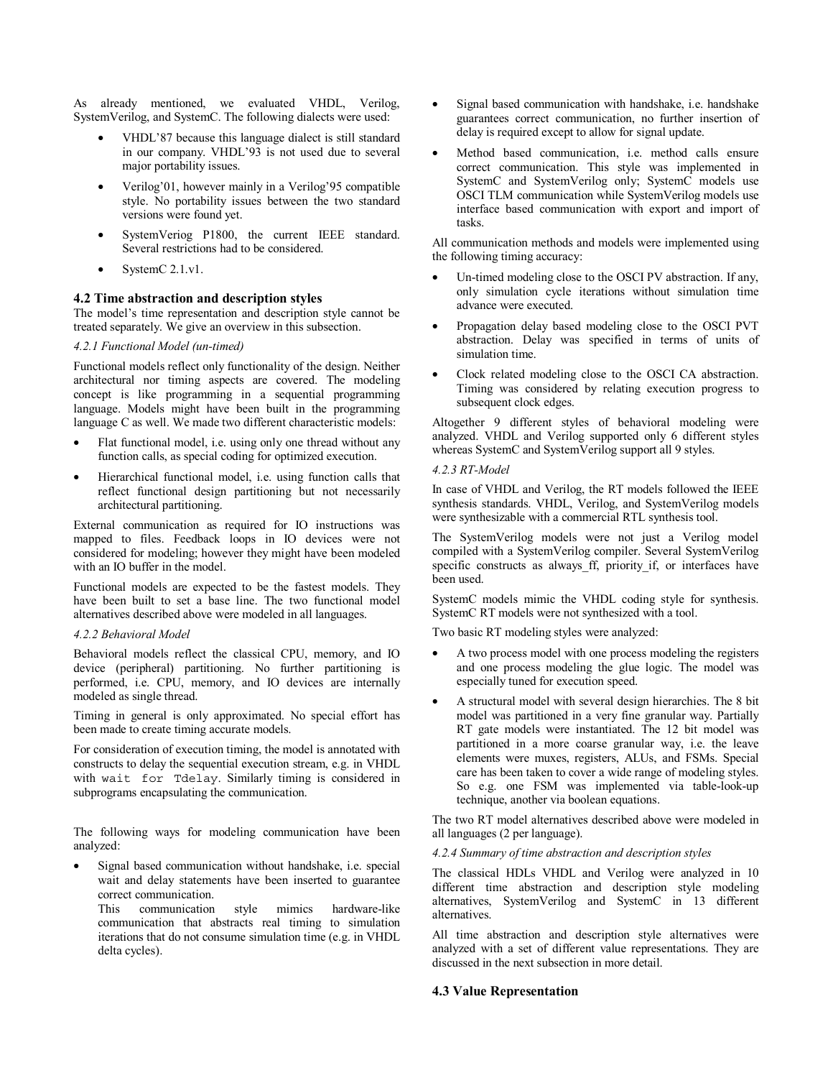As already mentioned, we evaluated VHDL, Verilog, SystemVerilog, and SystemC. The following dialects were used:

- VHDL'87 because this language dialect is still standard in our company. VHDL'93 is not used due to several major portability issues.
- Verilog'01, however mainly in a Verilog'95 compatible style. No portability issues between the two standard versions were found yet.
- SystemVeriog P1800, the current IEEE standard. Several restrictions had to be considered.
- SystemC 2.1.v1.

#### **4.2 Time abstraction and description styles**

The model's time representation and description style cannot be treated separately. We give an overview in this subsection.

# *4.2.1 Functional Model (un-timed)*

Functional models reflect only functionality of the design. Neither architectural nor timing aspects are covered. The modeling concept is like programming in a sequential programming language. Models might have been built in the programming language C as well. We made two different characteristic models:

- Flat functional model, i.e. using only one thread without any function calls, as special coding for optimized execution.
- Hierarchical functional model, i.e. using function calls that reflect functional design partitioning but not necessarily architectural partitioning.

External communication as required for IO instructions was mapped to files. Feedback loops in IO devices were not considered for modeling; however they might have been modeled with an IO buffer in the model.

Functional models are expected to be the fastest models. They have been built to set a base line. The two functional model alternatives described above were modeled in all languages.

#### *4.2.2 Behavioral Model*

Behavioral models reflect the classical CPU, memory, and IO device (peripheral) partitioning. No further partitioning is performed, i.e. CPU, memory, and IO devices are internally modeled as single thread.

Timing in general is only approximated. No special effort has been made to create timing accurate models.

For consideration of execution timing, the model is annotated with constructs to delay the sequential execution stream, e.g. in VHDL with wait for Tdelay. Similarly timing is considered in subprograms encapsulating the communication.

The following ways for modeling communication have been analyzed:

Signal based communication without handshake, i.e. special wait and delay statements have been inserted to guarantee correct communication.

This communication style mimics hardware-like communication that abstracts real timing to simulation iterations that do not consume simulation time (e.g. in VHDL delta cycles).

- Signal based communication with handshake, i.e. handshake guarantees correct communication, no further insertion of delay is required except to allow for signal update.
- Method based communication, i.e. method calls ensure correct communication. This style was implemented in SystemC and SystemVerilog only; SystemC models use OSCI TLM communication while SystemVerilog models use interface based communication with export and import of tasks.

All communication methods and models were implemented using the following timing accuracy:

- Un-timed modeling close to the OSCI PV abstraction. If any, only simulation cycle iterations without simulation time advance were executed.
- Propagation delay based modeling close to the OSCI PVT abstraction. Delay was specified in terms of units of simulation time.
- Clock related modeling close to the OSCI CA abstraction. Timing was considered by relating execution progress to subsequent clock edges.

Altogether 9 different styles of behavioral modeling were analyzed. VHDL and Verilog supported only 6 different styles whereas SystemC and SystemVerilog support all 9 styles.

#### *4.2.3 RT-Model*

In case of VHDL and Verilog, the RT models followed the IEEE synthesis standards. VHDL, Verilog, and SystemVerilog models were synthesizable with a commercial RTL synthesis tool.

The SystemVerilog models were not just a Verilog model compiled with a SystemVerilog compiler. Several SystemVerilog specific constructs as always ff, priority if, or interfaces have been used.

SystemC models mimic the VHDL coding style for synthesis. SystemC RT models were not synthesized with a tool.

Two basic RT modeling styles were analyzed:

- A two process model with one process modeling the registers and one process modeling the glue logic. The model was especially tuned for execution speed.
- A structural model with several design hierarchies. The 8 bit model was partitioned in a very fine granular way. Partially RT gate models were instantiated. The 12 bit model was partitioned in a more coarse granular way, i.e. the leave elements were muxes, registers, ALUs, and FSMs. Special care has been taken to cover a wide range of modeling styles. So e.g. one FSM was implemented via table-look-up technique, another via boolean equations.

The two RT model alternatives described above were modeled in all languages (2 per language).

#### *4.2.4 Summary of time abstraction and description styles*

The classical HDLs VHDL and Verilog were analyzed in 10 different time abstraction and description style modeling alternatives, SystemVerilog and SystemC in 13 different alternatives.

All time abstraction and description style alternatives were analyzed with a set of different value representations. They are discussed in the next subsection in more detail.

#### **4.3 Value Representation**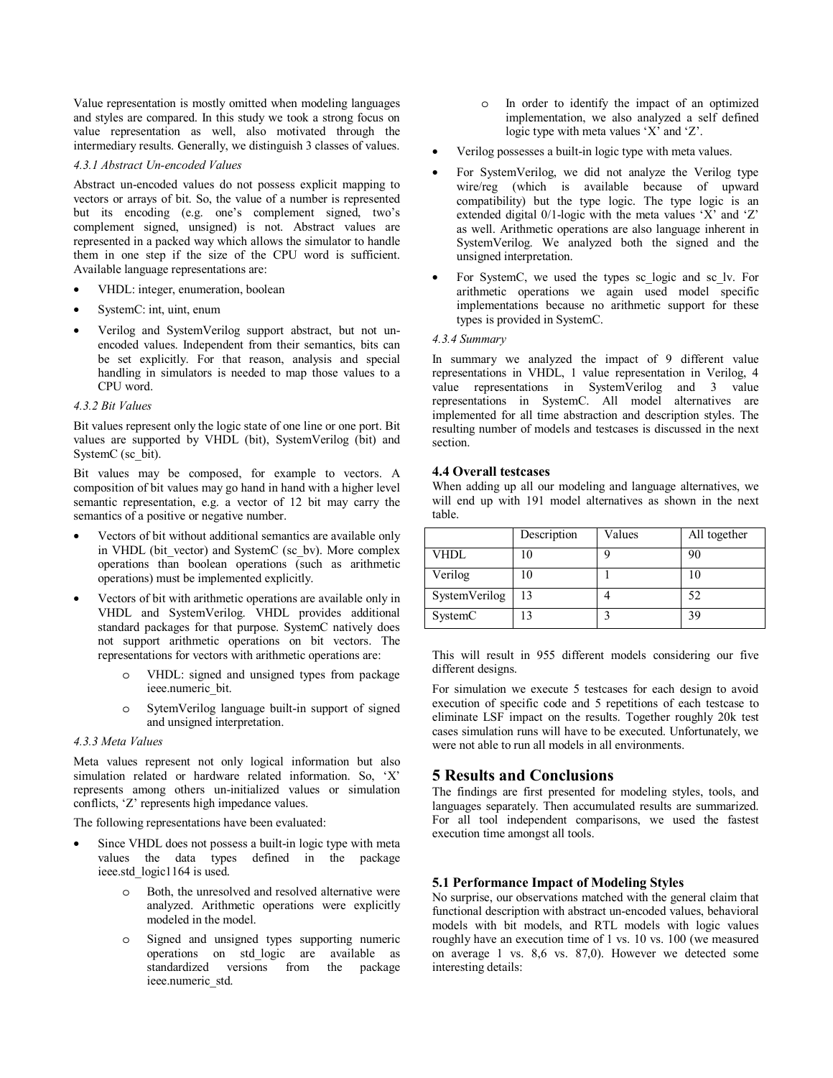Value representation is mostly omitted when modeling languages and styles are compared. In this study we took a strong focus on value representation as well, also motivated through the intermediary results. Generally, we distinguish 3 classes of values.

### *4.3.1 Abstract Un-encoded Values*

Abstract un-encoded values do not possess explicit mapping to vectors or arrays of bit. So, the value of a number is represented but its encoding (e.g. one's complement signed, two's complement signed, unsigned) is not. Abstract values are represented in a packed way which allows the simulator to handle them in one step if the size of the CPU word is sufficient. Available language representations are:

- VHDL: integer, enumeration, boolean
- SystemC: int, uint, enum
- Verilog and SystemVerilog support abstract, but not unencoded values. Independent from their semantics, bits can be set explicitly. For that reason, analysis and special handling in simulators is needed to map those values to a CPU word.

#### *4.3.2 Bit Values*

Bit values represent only the logic state of one line or one port. Bit values are supported by VHDL (bit), SystemVerilog (bit) and SystemC (sc\_bit).

Bit values may be composed, for example to vectors. A composition of bit values may go hand in hand with a higher level semantic representation, e.g. a vector of 12 bit may carry the semantics of a positive or negative number.

- Vectors of bit without additional semantics are available only in VHDL (bit\_vector) and SystemC (sc\_bv). More complex operations than boolean operations (such as arithmetic operations) must be implemented explicitly.
- Vectors of bit with arithmetic operations are available only in VHDL and SystemVerilog. VHDL provides additional standard packages for that purpose. SystemC natively does not support arithmetic operations on bit vectors. The representations for vectors with arithmetic operations are:
	- VHDL: signed and unsigned types from package ieee.numeric\_bit.
	- o SytemVerilog language built-in support of signed and unsigned interpretation.

#### *4.3.3 Meta Values*

Meta values represent not only logical information but also simulation related or hardware related information. So, 'X' represents among others un-initialized values or simulation conflicts, 'Z' represents high impedance values.

The following representations have been evaluated:

- Since VHDL does not possess a built-in logic type with meta values the data types defined in the package ieee.std\_logic1164 is used.
	- o Both, the unresolved and resolved alternative were analyzed. Arithmetic operations were explicitly modeled in the model.
	- o Signed and unsigned types supporting numeric operations on std\_logic are available as standardized versions from the package ieee.numeric\_std.
- o In order to identify the impact of an optimized implementation, we also analyzed a self defined logic type with meta values 'X' and 'Z'.
- Verilog possesses a built-in logic type with meta values.
- For SystemVerilog, we did not analyze the Verilog type wire/reg (which is available because of upward compatibility) but the type logic. The type logic is an extended digital 0/1-logic with the meta values 'X' and 'Z' as well. Arithmetic operations are also language inherent in SystemVerilog. We analyzed both the signed and the unsigned interpretation.
- For SystemC, we used the types sc\_logic and sc\_lv. For arithmetic operations we again used model specific implementations because no arithmetic support for these types is provided in SystemC.

#### *4.3.4 Summary*

In summary we analyzed the impact of 9 different value representations in VHDL, 1 value representation in Verilog, 4 value representations in SystemVerilog and 3 value representations in SystemC. All model alternatives are implemented for all time abstraction and description styles. The resulting number of models and testcases is discussed in the next section.

### **4.4 Overall testcases**

When adding up all our modeling and language alternatives, we will end up with 191 model alternatives as shown in the next table.

|               | Description | Values | All together |
|---------------|-------------|--------|--------------|
| <b>VHDL</b>   | 10          |        | 90           |
| Verilog       | 10          |        |              |
| SystemVerilog | 13          |        | 52           |
| SystemC       | 13          |        | 39           |

This will result in 955 different models considering our five different designs.

For simulation we execute 5 testcases for each design to avoid execution of specific code and 5 repetitions of each testcase to eliminate LSF impact on the results. Together roughly 20k test cases simulation runs will have to be executed. Unfortunately, we were not able to run all models in all environments.

# **5 Results and Conclusions**

The findings are first presented for modeling styles, tools, and languages separately. Then accumulated results are summarized. For all tool independent comparisons, we used the fastest execution time amongst all tools.

#### **5.1 Performance Impact of Modeling Styles**

No surprise, our observations matched with the general claim that functional description with abstract un-encoded values, behavioral models with bit models, and RTL models with logic values roughly have an execution time of 1 vs. 10 vs. 100 (we measured on average 1 vs. 8,6 vs. 87,0). However we detected some interesting details: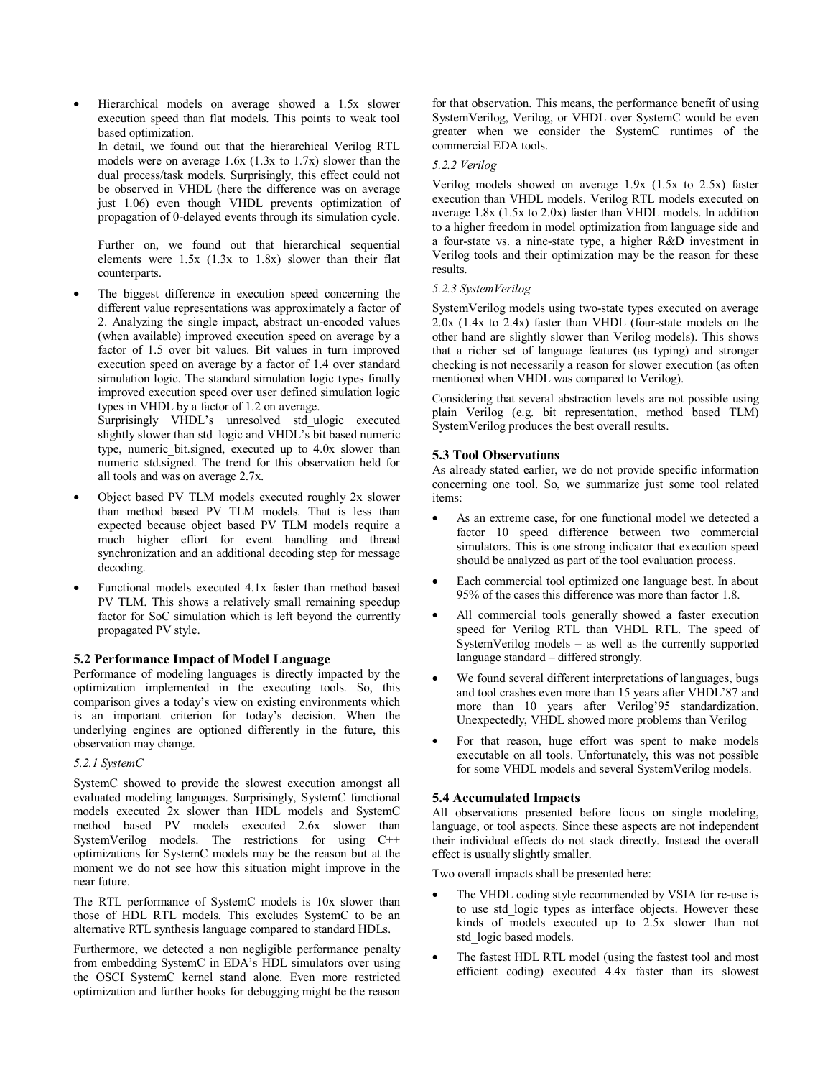• Hierarchical models on average showed a 1.5x slower execution speed than flat models. This points to weak tool based optimization. In detail, we found out that the hierarchical Verilog RTL models were on average 1.6x (1.3x to 1.7x) slower than the dual process/task models. Surprisingly, this effect could not be observed in VHDL (here the difference was on average just 1.06) even though VHDL prevents optimization of propagation of 0-delayed events through its simulation cycle.

Further on, we found out that hierarchical sequential elements were  $1.5x$  ( $1.3x$  to  $1.8x$ ) slower than their flat counterparts.

The biggest difference in execution speed concerning the different value representations was approximately a factor of 2. Analyzing the single impact, abstract un-encoded values (when available) improved execution speed on average by a factor of 1.5 over bit values. Bit values in turn improved execution speed on average by a factor of 1.4 over standard simulation logic. The standard simulation logic types finally improved execution speed over user defined simulation logic types in VHDL by a factor of 1.2 on average.

Surprisingly VHDL's unresolved std ulogic executed slightly slower than std\_logic and VHDL's bit based numeric type, numeric bit.signed, executed up to 4.0x slower than numeric std.signed. The trend for this observation held for all tools and was on average 2.7x.

- Object based PV TLM models executed roughly 2x slower than method based PV TLM models. That is less than expected because object based PV TLM models require a much higher effort for event handling and thread synchronization and an additional decoding step for message decoding.
- Functional models executed 4.1x faster than method based PV TLM. This shows a relatively small remaining speedup factor for SoC simulation which is left beyond the currently propagated PV style.

# **5.2 Performance Impact of Model Language**

Performance of modeling languages is directly impacted by the optimization implemented in the executing tools. So, this comparison gives a today's view on existing environments which is an important criterion for today's decision. When the underlying engines are optioned differently in the future, this observation may change.

#### *5.2.1 SystemC*

SystemC showed to provide the slowest execution amongst all evaluated modeling languages. Surprisingly, SystemC functional models executed 2x slower than HDL models and SystemC method based PV models executed 2.6x slower than SystemVerilog models. The restrictions for using C++ optimizations for SystemC models may be the reason but at the moment we do not see how this situation might improve in the near future.

The RTL performance of SystemC models is 10x slower than those of HDL RTL models. This excludes SystemC to be an alternative RTL synthesis language compared to standard HDLs.

Furthermore, we detected a non negligible performance penalty from embedding SystemC in EDA's HDL simulators over using the OSCI SystemC kernel stand alone. Even more restricted optimization and further hooks for debugging might be the reason

for that observation. This means, the performance benefit of using SystemVerilog, Verilog, or VHDL over SystemC would be even greater when we consider the SystemC runtimes of the commercial EDA tools.

#### *5.2.2 Verilog*

Verilog models showed on average 1.9x (1.5x to 2.5x) faster execution than VHDL models. Verilog RTL models executed on average 1.8x (1.5x to 2.0x) faster than VHDL models. In addition to a higher freedom in model optimization from language side and a four-state vs. a nine-state type, a higher R&D investment in Verilog tools and their optimization may be the reason for these results.

#### *5.2.3 SystemVerilog*

SystemVerilog models using two-state types executed on average 2.0x (1.4x to 2.4x) faster than VHDL (four-state models on the other hand are slightly slower than Verilog models). This shows that a richer set of language features (as typing) and stronger checking is not necessarily a reason for slower execution (as often mentioned when VHDL was compared to Verilog).

Considering that several abstraction levels are not possible using plain Verilog (e.g. bit representation, method based TLM) SystemVerilog produces the best overall results.

#### **5.3 Tool Observations**

As already stated earlier, we do not provide specific information concerning one tool. So, we summarize just some tool related items:

- As an extreme case, for one functional model we detected a factor 10 speed difference between two commercial simulators. This is one strong indicator that execution speed should be analyzed as part of the tool evaluation process.
- Each commercial tool optimized one language best. In about 95% of the cases this difference was more than factor 1.8.
- All commercial tools generally showed a faster execution speed for Verilog RTL than VHDL RTL. The speed of SystemVerilog models – as well as the currently supported language standard – differed strongly.
- We found several different interpretations of languages, bugs and tool crashes even more than 15 years after VHDL'87 and more than 10 years after Verilog'95 standardization. Unexpectedly, VHDL showed more problems than Verilog
- For that reason, huge effort was spent to make models executable on all tools. Unfortunately, this was not possible for some VHDL models and several SystemVerilog models.

## **5.4 Accumulated Impacts**

All observations presented before focus on single modeling, language, or tool aspects. Since these aspects are not independent their individual effects do not stack directly. Instead the overall effect is usually slightly smaller.

Two overall impacts shall be presented here:

- The VHDL coding style recommended by VSIA for re-use is to use std\_logic types as interface objects. However these kinds of models executed up to 2.5x slower than not std logic based models.
- The fastest HDL RTL model (using the fastest tool and most efficient coding) executed 4.4x faster than its slowest